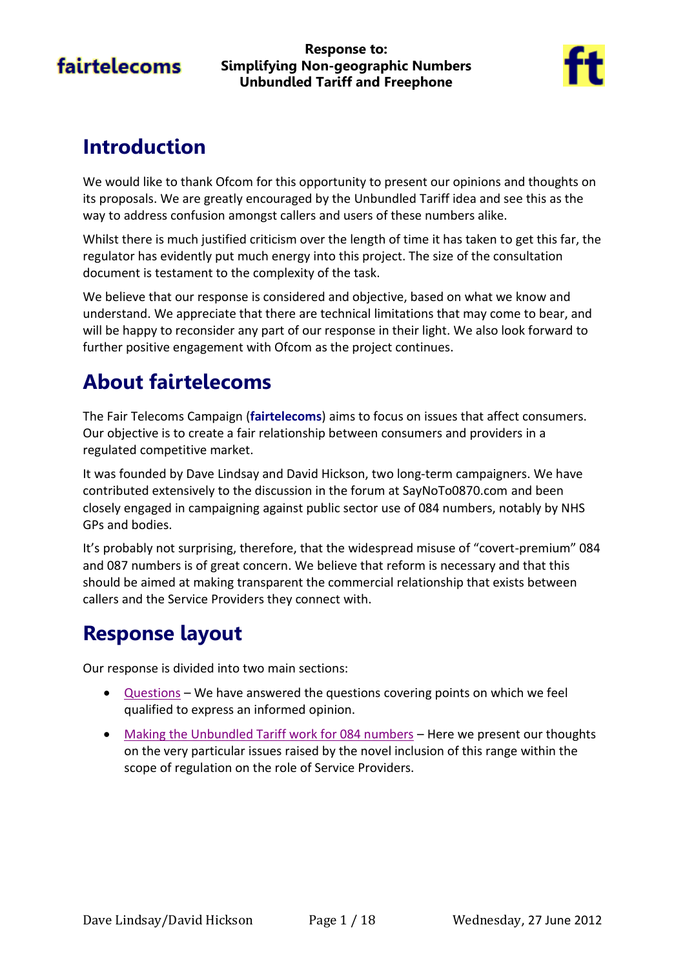**Response to: Simplifying Non-geographic Numbers Unbundled Tariff and Freephone**



# **Introduction**

We would like to thank Ofcom for this opportunity to present our opinions and thoughts on its proposals. We are greatly encouraged by the Unbundled Tariff idea and see this as the way to address confusion amongst callers and users of these numbers alike.

Whilst there is much justified criticism over the length of time it has taken to get this far, the regulator has evidently put much energy into this project. The size of the consultation document is testament to the complexity of the task.

We believe that our response is considered and objective, based on what we know and understand. We appreciate that there are technical limitations that may come to bear, and will be happy to reconsider any part of our response in their light. We also look forward to further positive engagement with Ofcom as the project continues.

# **About fairtelecoms**

The Fair Telecoms Campaign (**fairtelecoms**) aims to focus on issues that affect consumers. Our objective is to create a fair relationship between consumers and providers in a regulated competitive market.

It was founded by Dave Lindsay and David Hickson, two long-term campaigners. We have contributed extensively to the discussion in the forum at SayNoTo0870.com and been closely engaged in campaigning against public sector use of 084 numbers, notably by NHS GPs and bodies.

It's probably not surprising, therefore, that the widespread misuse of "covert-premium" 084 and 087 numbers is of great concern. We believe that reform is necessary and that this should be aimed at making transparent the commercial relationship that exists between callers and the Service Providers they connect with.

# **Response layout**

Our response is divided into two main sections:

- [Questions](#page-1-0) We have answered the questions covering points on which we feel qualified to express an informed opinion.
- [Making the Unbundled Tariff work for 084 numbers](#page-10-0) Here we present our thoughts on the very particular issues raised by the novel inclusion of this range within the scope of regulation on the role of Service Providers.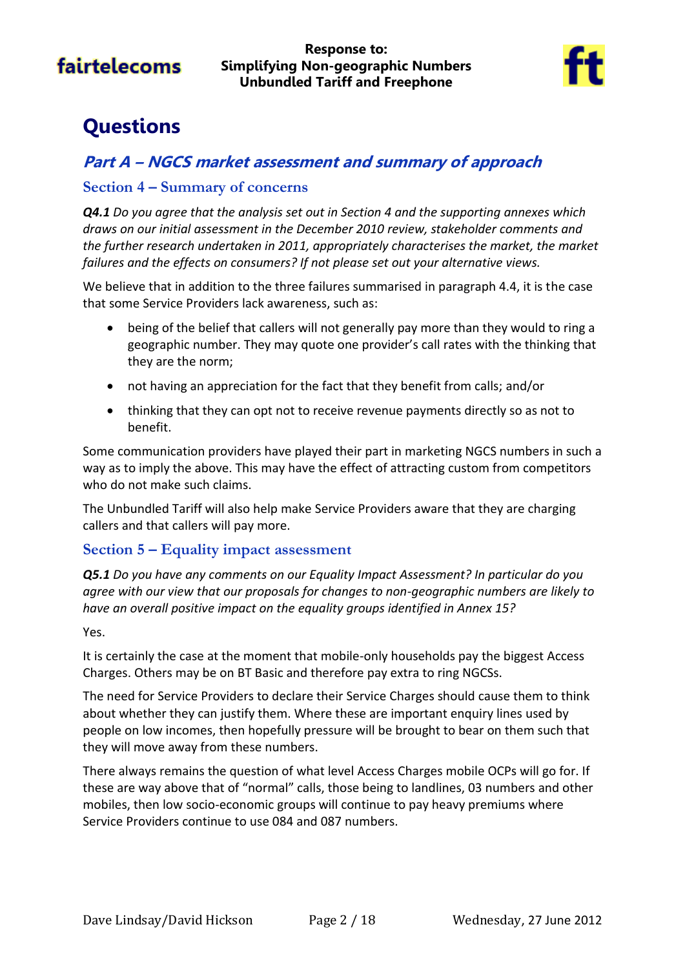**Response to: Simplifying Non-geographic Numbers Unbundled Tariff and Freephone**



# <span id="page-1-0"></span>**Questions**

### **Part A – NGCS market assessment and summary of approach**

#### **Section 4 – Summary of concerns**

*Q4.1 Do you agree that the analysis set out in Section 4 and the supporting annexes which draws on our initial assessment in the December 2010 review, stakeholder comments and the further research undertaken in 2011, appropriately characterises the market, the market failures and the effects on consumers? If not please set out your alternative views.*

We believe that in addition to the three failures summarised in paragraph 4.4, it is the case that some Service Providers lack awareness, such as:

- being of the belief that callers will not generally pay more than they would to ring a geographic number. They may quote one provider's call rates with the thinking that they are the norm;
- not having an appreciation for the fact that they benefit from calls; and/or
- thinking that they can opt not to receive revenue payments directly so as not to benefit.

Some communication providers have played their part in marketing NGCS numbers in such a way as to imply the above. This may have the effect of attracting custom from competitors who do not make such claims.

The Unbundled Tariff will also help make Service Providers aware that they are charging callers and that callers will pay more.

#### **Section 5 – Equality impact assessment**

*Q5.1 Do you have any comments on our Equality Impact Assessment? In particular do you agree with our view that our proposals for changes to non-geographic numbers are likely to have an overall positive impact on the equality groups identified in Annex 15?*

#### Yes.

It is certainly the case at the moment that mobile-only households pay the biggest Access Charges. Others may be on BT Basic and therefore pay extra to ring NGCSs.

The need for Service Providers to declare their Service Charges should cause them to think about whether they can justify them. Where these are important enquiry lines used by people on low incomes, then hopefully pressure will be brought to bear on them such that they will move away from these numbers.

There always remains the question of what level Access Charges mobile OCPs will go for. If these are way above that of "normal" calls, those being to landlines, 03 numbers and other mobiles, then low socio-economic groups will continue to pay heavy premiums where Service Providers continue to use 084 and 087 numbers.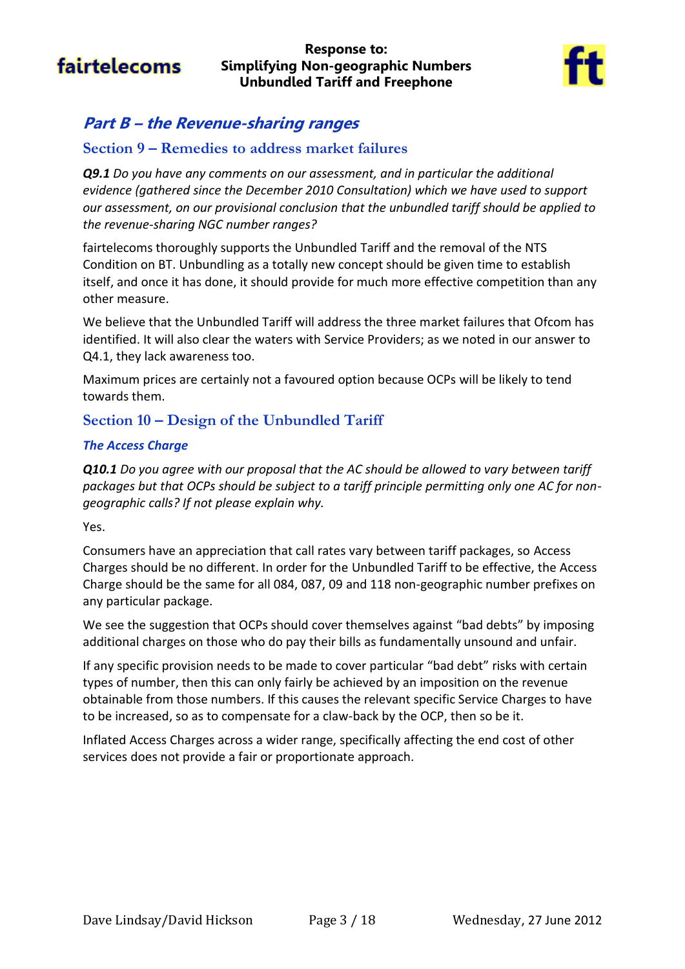#### **Response to: Simplifying Non-geographic Numbers Unbundled Tariff and Freephone**



### **Part B – the Revenue-sharing ranges**

### **Section 9 – Remedies to address market failures**

*Q9.1 Do you have any comments on our assessment, and in particular the additional evidence (gathered since the December 2010 Consultation) which we have used to support our assessment, on our provisional conclusion that the unbundled tariff should be applied to the revenue-sharing NGC number ranges?*

fairtelecoms thoroughly supports the Unbundled Tariff and the removal of the NTS Condition on BT. Unbundling as a totally new concept should be given time to establish itself, and once it has done, it should provide for much more effective competition than any other measure.

We believe that the Unbundled Tariff will address the three market failures that Ofcom has identified. It will also clear the waters with Service Providers; as we noted in our answer to Q4.1, they lack awareness too.

Maximum prices are certainly not a favoured option because OCPs will be likely to tend towards them.

### **Section 10 – Design of the Unbundled Tariff**

#### *The Access Charge*

*Q10.1 Do you agree with our proposal that the AC should be allowed to vary between tariff packages but that OCPs should be subject to a tariff principle permitting only one AC for nongeographic calls? If not please explain why.*

Yes.

Consumers have an appreciation that call rates vary between tariff packages, so Access Charges should be no different. In order for the Unbundled Tariff to be effective, the Access Charge should be the same for all 084, 087, 09 and 118 non-geographic number prefixes on any particular package.

We see the suggestion that OCPs should cover themselves against "bad debts" by imposing additional charges on those who do pay their bills as fundamentally unsound and unfair.

If any specific provision needs to be made to cover particular "bad debt" risks with certain types of number, then this can only fairly be achieved by an imposition on the revenue obtainable from those numbers. If this causes the relevant specific Service Charges to have to be increased, so as to compensate for a claw-back by the OCP, then so be it.

Inflated Access Charges across a wider range, specifically affecting the end cost of other services does not provide a fair or proportionate approach.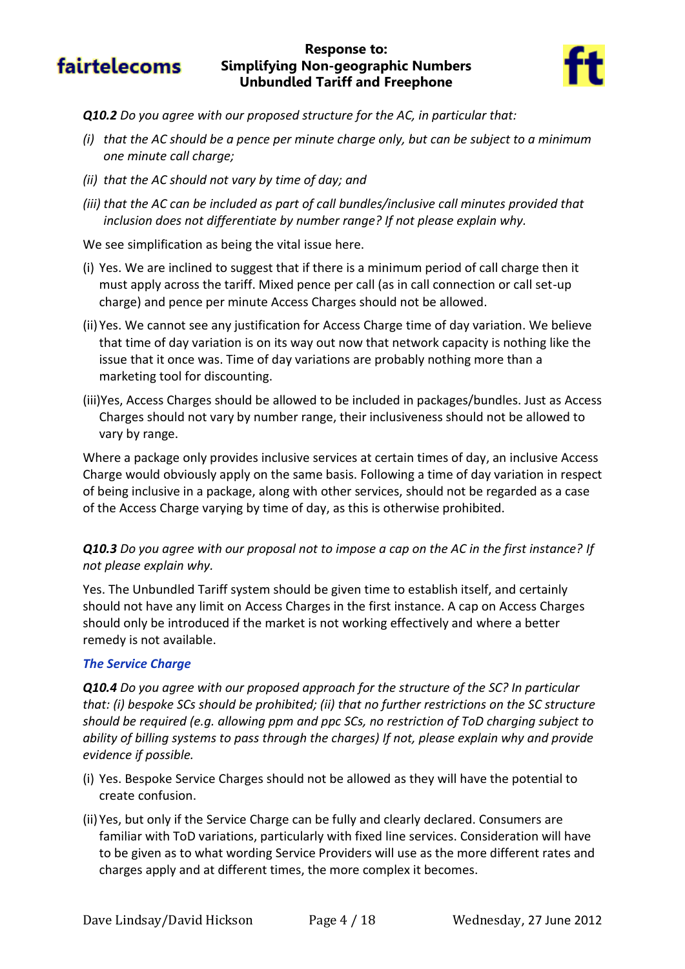#### **Response to: Simplifying Non-geographic Numbers Unbundled Tariff and Freephone**



- *Q10.2 Do you agree with our proposed structure for the AC, in particular that:*
- *(i) that the AC should be a pence per minute charge only, but can be subject to a minimum one minute call charge;*
- *(ii) that the AC should not vary by time of day; and*
- *(iii) that the AC can be included as part of call bundles/inclusive call minutes provided that inclusion does not differentiate by number range? If not please explain why.*

We see simplification as being the vital issue here.

- (i) Yes. We are inclined to suggest that if there is a minimum period of call charge then it must apply across the tariff. Mixed pence per call (as in call connection or call set-up charge) and pence per minute Access Charges should not be allowed.
- (ii)Yes. We cannot see any justification for Access Charge time of day variation. We believe that time of day variation is on its way out now that network capacity is nothing like the issue that it once was. Time of day variations are probably nothing more than a marketing tool for discounting.
- (iii)Yes, Access Charges should be allowed to be included in packages/bundles. Just as Access Charges should not vary by number range, their inclusiveness should not be allowed to vary by range.

Where a package only provides inclusive services at certain times of day, an inclusive Access Charge would obviously apply on the same basis. Following a time of day variation in respect of being inclusive in a package, along with other services, should not be regarded as a case of the Access Charge varying by time of day, as this is otherwise prohibited.

#### *Q10.3 Do you agree with our proposal not to impose a cap on the AC in the first instance? If not please explain why.*

Yes. The Unbundled Tariff system should be given time to establish itself, and certainly should not have any limit on Access Charges in the first instance. A cap on Access Charges should only be introduced if the market is not working effectively and where a better remedy is not available.

#### *The Service Charge*

*Q10.4 Do you agree with our proposed approach for the structure of the SC? In particular that: (i) bespoke SCs should be prohibited; (ii) that no further restrictions on the SC structure should be required (e.g. allowing ppm and ppc SCs, no restriction of ToD charging subject to ability of billing systems to pass through the charges) If not, please explain why and provide evidence if possible.*

- (i) Yes. Bespoke Service Charges should not be allowed as they will have the potential to create confusion.
- (ii)Yes, but only if the Service Charge can be fully and clearly declared. Consumers are familiar with ToD variations, particularly with fixed line services. Consideration will have to be given as to what wording Service Providers will use as the more different rates and charges apply and at different times, the more complex it becomes.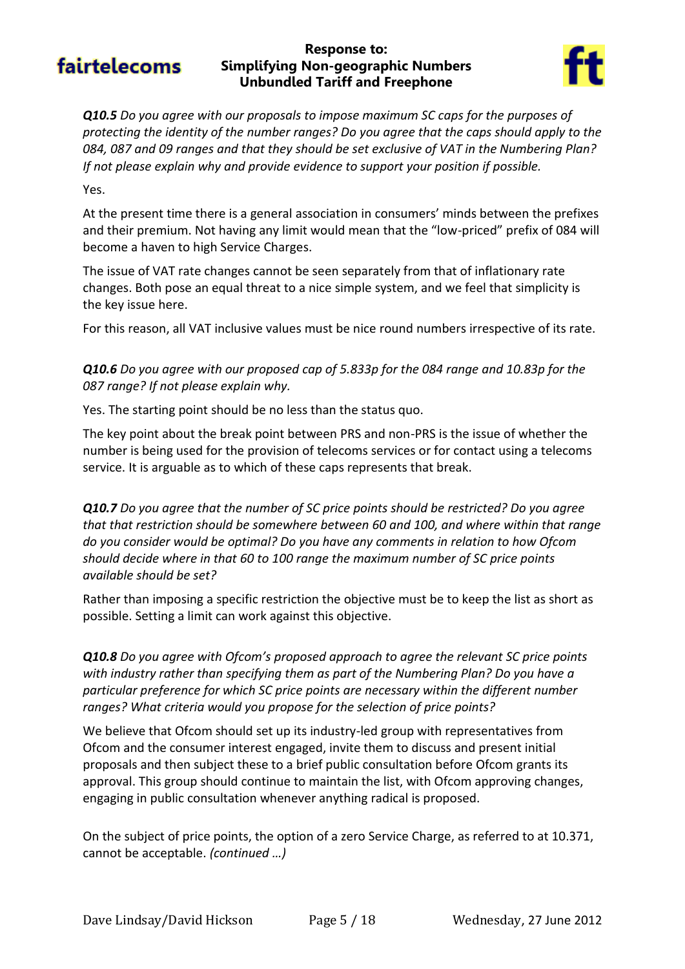#### **Response to: Simplifying Non-geographic Numbers Unbundled Tariff and Freephone**



*Q10.5 Do you agree with our proposals to impose maximum SC caps for the purposes of protecting the identity of the number ranges? Do you agree that the caps should apply to the 084, 087 and 09 ranges and that they should be set exclusive of VAT in the Numbering Plan? If not please explain why and provide evidence to support your position if possible.*

#### Yes.

At the present time there is a general association in consumers' minds between the prefixes and their premium. Not having any limit would mean that the "low-priced" prefix of 084 will become a haven to high Service Charges.

The issue of VAT rate changes cannot be seen separately from that of inflationary rate changes. Both pose an equal threat to a nice simple system, and we feel that simplicity is the key issue here.

For this reason, all VAT inclusive values must be nice round numbers irrespective of its rate.

*Q10.6 Do you agree with our proposed cap of 5.833p for the 084 range and 10.83p for the 087 range? If not please explain why.*

Yes. The starting point should be no less than the status quo.

The key point about the break point between PRS and non-PRS is the issue of whether the number is being used for the provision of telecoms services or for contact using a telecoms service. It is arguable as to which of these caps represents that break.

*Q10.7 Do you agree that the number of SC price points should be restricted? Do you agree that that restriction should be somewhere between 60 and 100, and where within that range do you consider would be optimal? Do you have any comments in relation to how Ofcom should decide where in that 60 to 100 range the maximum number of SC price points available should be set?*

Rather than imposing a specific restriction the objective must be to keep the list as short as possible. Setting a limit can work against this objective.

*Q10.8 Do you agree with Ofcom's proposed approach to agree the relevant SC price points with industry rather than specifying them as part of the Numbering Plan? Do you have a particular preference for which SC price points are necessary within the different number ranges? What criteria would you propose for the selection of price points?*

We believe that Ofcom should set up its industry-led group with representatives from Ofcom and the consumer interest engaged, invite them to discuss and present initial proposals and then subject these to a brief public consultation before Ofcom grants its approval. This group should continue to maintain the list, with Ofcom approving changes, engaging in public consultation whenever anything radical is proposed.

On the subject of price points, the option of a zero Service Charge, as referred to at 10.371, cannot be acceptable. *(continued …)*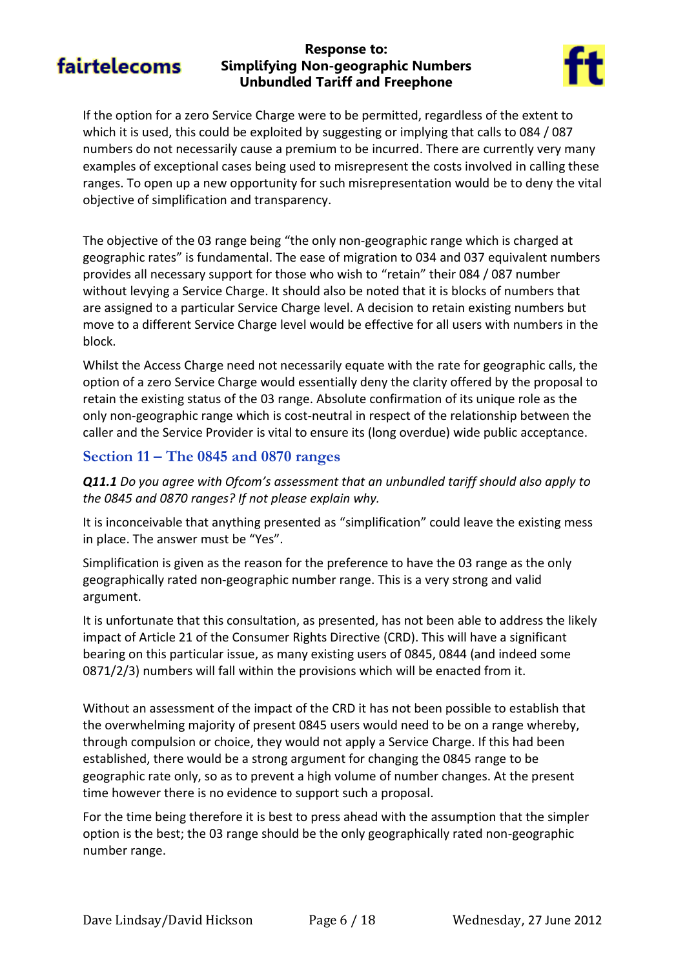#### **Response to: Simplifying Non-geographic Numbers Unbundled Tariff and Freephone**



If the option for a zero Service Charge were to be permitted, regardless of the extent to which it is used, this could be exploited by suggesting or implying that calls to 084 / 087 numbers do not necessarily cause a premium to be incurred. There are currently very many examples of exceptional cases being used to misrepresent the costs involved in calling these ranges. To open up a new opportunity for such misrepresentation would be to deny the vital objective of simplification and transparency.

The objective of the 03 range being "the only non-geographic range which is charged at geographic rates" is fundamental. The ease of migration to 034 and 037 equivalent numbers provides all necessary support for those who wish to "retain" their 084 / 087 number without levying a Service Charge. It should also be noted that it is blocks of numbers that are assigned to a particular Service Charge level. A decision to retain existing numbers but move to a different Service Charge level would be effective for all users with numbers in the block.

Whilst the Access Charge need not necessarily equate with the rate for geographic calls, the option of a zero Service Charge would essentially deny the clarity offered by the proposal to retain the existing status of the 03 range. Absolute confirmation of its unique role as the only non-geographic range which is cost-neutral in respect of the relationship between the caller and the Service Provider is vital to ensure its (long overdue) wide public acceptance.

### **Section 11 – The 0845 and 0870 ranges**

*Q11.1 Do you agree with Ofcom's assessment that an unbundled tariff should also apply to the 0845 and 0870 ranges? If not please explain why.*

It is inconceivable that anything presented as "simplification" could leave the existing mess in place. The answer must be "Yes".

Simplification is given as the reason for the preference to have the 03 range as the only geographically rated non-geographic number range. This is a very strong and valid argument.

It is unfortunate that this consultation, as presented, has not been able to address the likely impact of Article 21 of the Consumer Rights Directive (CRD). This will have a significant bearing on this particular issue, as many existing users of 0845, 0844 (and indeed some 0871/2/3) numbers will fall within the provisions which will be enacted from it.

Without an assessment of the impact of the CRD it has not been possible to establish that the overwhelming majority of present 0845 users would need to be on a range whereby, through compulsion or choice, they would not apply a Service Charge. If this had been established, there would be a strong argument for changing the 0845 range to be geographic rate only, so as to prevent a high volume of number changes. At the present time however there is no evidence to support such a proposal.

For the time being therefore it is best to press ahead with the assumption that the simpler option is the best; the 03 range should be the only geographically rated non-geographic number range.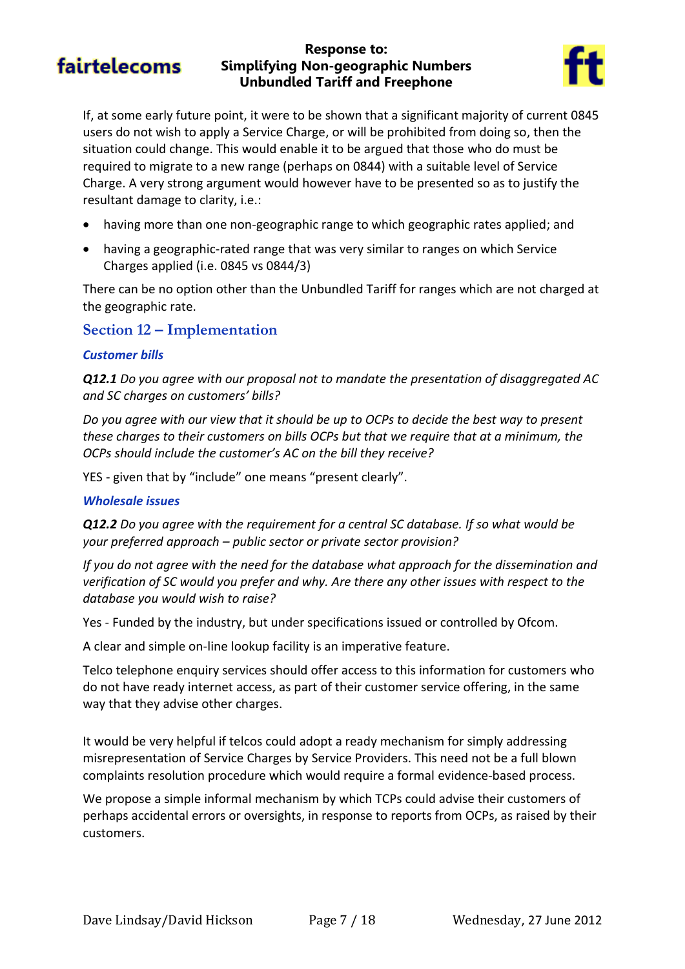#### **Response to: Simplifying Non-geographic Numbers Unbundled Tariff and Freephone**



If, at some early future point, it were to be shown that a significant majority of current 0845 users do not wish to apply a Service Charge, or will be prohibited from doing so, then the situation could change. This would enable it to be argued that those who do must be required to migrate to a new range (perhaps on 0844) with a suitable level of Service Charge. A very strong argument would however have to be presented so as to justify the resultant damage to clarity, i.e.:

- having more than one non-geographic range to which geographic rates applied; and
- having a geographic-rated range that was very similar to ranges on which Service Charges applied (i.e. 0845 vs 0844/3)

There can be no option other than the Unbundled Tariff for ranges which are not charged at the geographic rate.

#### **Section 12 – Implementation**

#### *Customer bills*

*Q12.1 Do you agree with our proposal not to mandate the presentation of disaggregated AC and SC charges on customers' bills?*

*Do you agree with our view that it should be up to OCPs to decide the best way to present these charges to their customers on bills OCPs but that we require that at a minimum, the OCPs should include the customer's AC on the bill they receive?*

YES - given that by "include" one means "present clearly".

#### *Wholesale issues*

*Q12.2 Do you agree with the requirement for a central SC database. If so what would be your preferred approach – public sector or private sector provision?*

*If you do not agree with the need for the database what approach for the dissemination and verification of SC would you prefer and why. Are there any other issues with respect to the database you would wish to raise?*

Yes - Funded by the industry, but under specifications issued or controlled by Ofcom.

A clear and simple on-line lookup facility is an imperative feature.

Telco telephone enquiry services should offer access to this information for customers who do not have ready internet access, as part of their customer service offering, in the same way that they advise other charges.

It would be very helpful if telcos could adopt a ready mechanism for simply addressing misrepresentation of Service Charges by Service Providers. This need not be a full blown complaints resolution procedure which would require a formal evidence-based process.

We propose a simple informal mechanism by which TCPs could advise their customers of perhaps accidental errors or oversights, in response to reports from OCPs, as raised by their customers.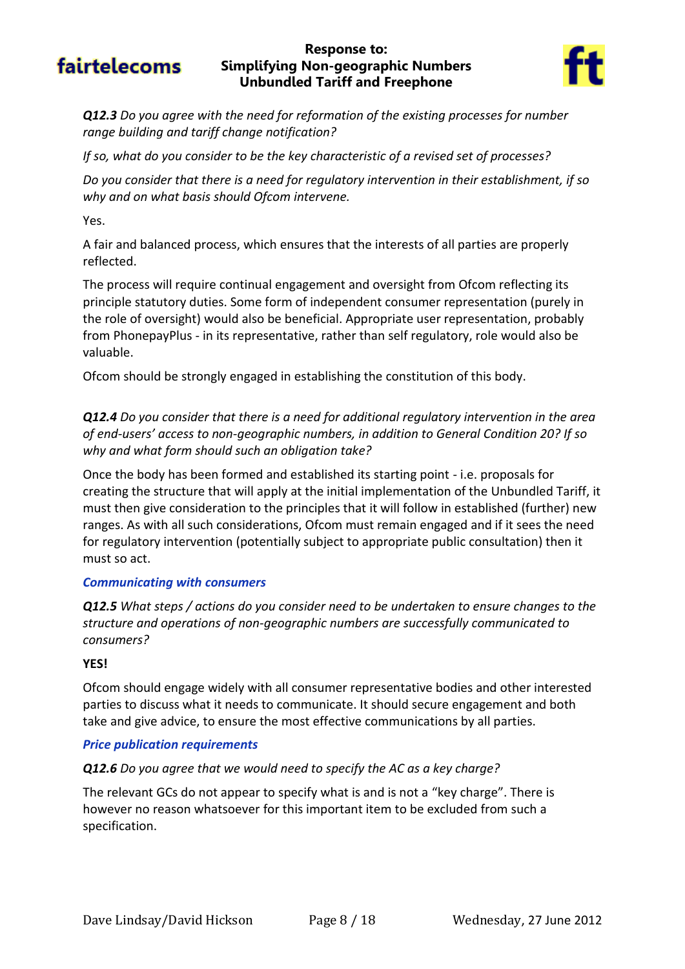#### **Response to: Simplifying Non-geographic Numbers Unbundled Tariff and Freephone**



*Q12.3 Do you agree with the need for reformation of the existing processes for number range building and tariff change notification?*

*If so, what do you consider to be the key characteristic of a revised set of processes?*

*Do you consider that there is a need for regulatory intervention in their establishment, if so why and on what basis should Ofcom intervene.*

Yes.

A fair and balanced process, which ensures that the interests of all parties are properly reflected.

The process will require continual engagement and oversight from Ofcom reflecting its principle statutory duties. Some form of independent consumer representation (purely in the role of oversight) would also be beneficial. Appropriate user representation, probably from PhonepayPlus - in its representative, rather than self regulatory, role would also be valuable.

Ofcom should be strongly engaged in establishing the constitution of this body.

*Q12.4 Do you consider that there is a need for additional regulatory intervention in the area of end-users' access to non-geographic numbers, in addition to General Condition 20? If so why and what form should such an obligation take?*

Once the body has been formed and established its starting point - i.e. proposals for creating the structure that will apply at the initial implementation of the Unbundled Tariff, it must then give consideration to the principles that it will follow in established (further) new ranges. As with all such considerations, Ofcom must remain engaged and if it sees the need for regulatory intervention (potentially subject to appropriate public consultation) then it must so act.

#### *Communicating with consumers*

*Q12.5 What steps / actions do you consider need to be undertaken to ensure changes to the structure and operations of non-geographic numbers are successfully communicated to consumers?*

#### **YES!**

Ofcom should engage widely with all consumer representative bodies and other interested parties to discuss what it needs to communicate. It should secure engagement and both take and give advice, to ensure the most effective communications by all parties.

#### *Price publication requirements*

#### *Q12.6 Do you agree that we would need to specify the AC as a key charge?*

The relevant GCs do not appear to specify what is and is not a "key charge". There is however no reason whatsoever for this important item to be excluded from such a specification.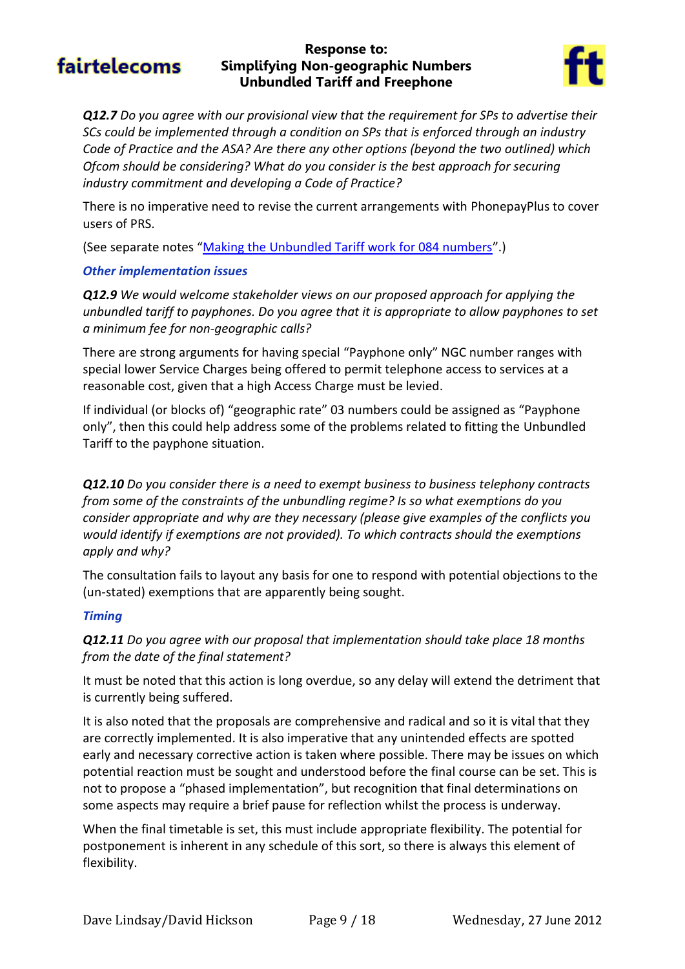#### **Response to: Simplifying Non-geographic Numbers Unbundled Tariff and Freephone**



*Q12.7 Do you agree with our provisional view that the requirement for SPs to advertise their SCs could be implemented through a condition on SPs that is enforced through an industry Code of Practice and the ASA? Are there any other options (beyond the two outlined) which Ofcom should be considering? What do you consider is the best approach for securing industry commitment and developing a Code of Practice?*

There is no imperative need to revise the current arrangements with PhonepayPlus to cover users of PRS.

(See separate notes "[Making the Unbundled Tariff work for 084 numbers](#page-10-0)".)

#### *Other implementation issues*

*Q12.9 We would welcome stakeholder views on our proposed approach for applying the unbundled tariff to payphones. Do you agree that it is appropriate to allow payphones to set a minimum fee for non-geographic calls?*

There are strong arguments for having special "Payphone only" NGC number ranges with special lower Service Charges being offered to permit telephone access to services at a reasonable cost, given that a high Access Charge must be levied.

If individual (or blocks of) "geographic rate" 03 numbers could be assigned as "Payphone only", then this could help address some of the problems related to fitting the Unbundled Tariff to the payphone situation.

*Q12.10 Do you consider there is a need to exempt business to business telephony contracts from some of the constraints of the unbundling regime? Is so what exemptions do you consider appropriate and why are they necessary (please give examples of the conflicts you would identify if exemptions are not provided). To which contracts should the exemptions apply and why?*

The consultation fails to layout any basis for one to respond with potential objections to the (un-stated) exemptions that are apparently being sought.

#### *Timing*

#### *Q12.11 Do you agree with our proposal that implementation should take place 18 months from the date of the final statement?*

It must be noted that this action is long overdue, so any delay will extend the detriment that is currently being suffered.

It is also noted that the proposals are comprehensive and radical and so it is vital that they are correctly implemented. It is also imperative that any unintended effects are spotted early and necessary corrective action is taken where possible. There may be issues on which potential reaction must be sought and understood before the final course can be set. This is not to propose a "phased implementation", but recognition that final determinations on some aspects may require a brief pause for reflection whilst the process is underway.

When the final timetable is set, this must include appropriate flexibility. The potential for postponement is inherent in any schedule of this sort, so there is always this element of flexibility.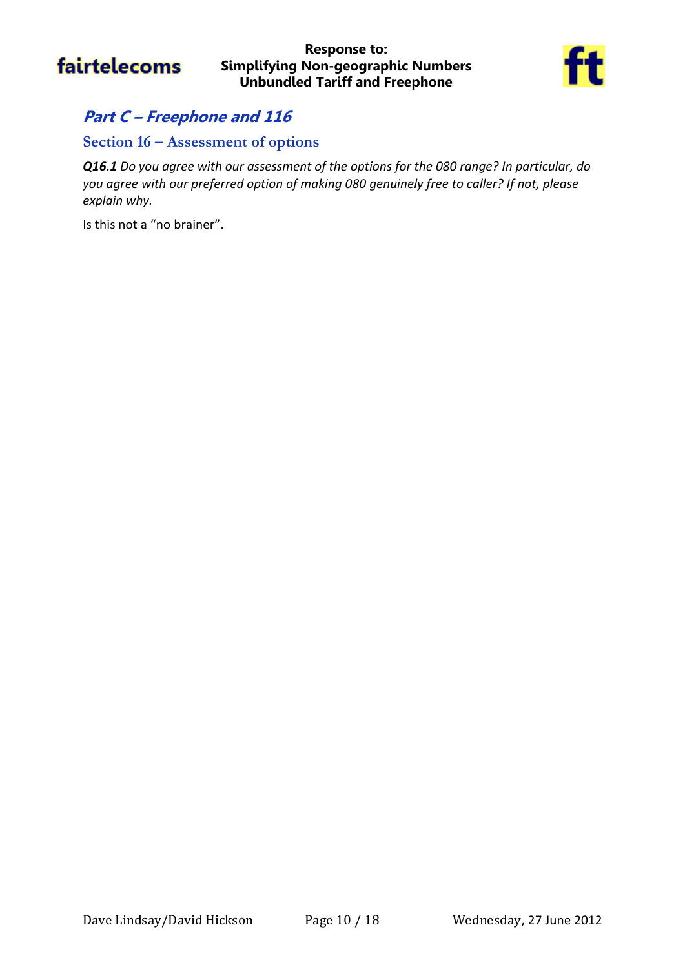

#### **Response to: Simplifying Non-geographic Numbers Unbundled Tariff and Freephone**



### **Part C – Freephone and 116**

### **Section 16 – Assessment of options**

*Q16.1 Do you agree with our assessment of the options for the 080 range? In particular, do you agree with our preferred option of making 080 genuinely free to caller? If not, please explain why.*

Is this not a "no brainer".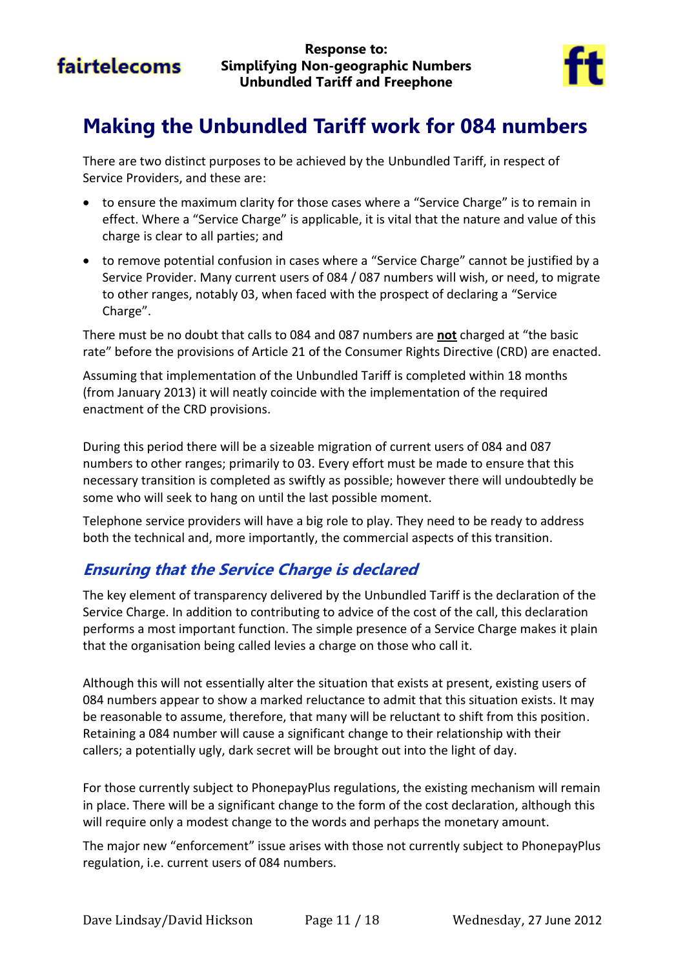

# <span id="page-10-0"></span>**Making the Unbundled Tariff work for 084 numbers**

There are two distinct purposes to be achieved by the Unbundled Tariff, in respect of Service Providers, and these are:

- to ensure the maximum clarity for those cases where a "Service Charge" is to remain in effect. Where a "Service Charge" is applicable, it is vital that the nature and value of this charge is clear to all parties; and
- to remove potential confusion in cases where a "Service Charge" cannot be justified by a Service Provider. Many current users of 084 / 087 numbers will wish, or need, to migrate to other ranges, notably 03, when faced with the prospect of declaring a "Service Charge".

There must be no doubt that calls to 084 and 087 numbers are **not** charged at "the basic rate" before the provisions of Article 21 of the Consumer Rights Directive (CRD) are enacted.

Assuming that implementation of the Unbundled Tariff is completed within 18 months (from January 2013) it will neatly coincide with the implementation of the required enactment of the CRD provisions.

During this period there will be a sizeable migration of current users of 084 and 087 numbers to other ranges; primarily to 03. Every effort must be made to ensure that this necessary transition is completed as swiftly as possible; however there will undoubtedly be some who will seek to hang on until the last possible moment.

Telephone service providers will have a big role to play. They need to be ready to address both the technical and, more importantly, the commercial aspects of this transition.

### **Ensuring that the Service Charge is declared**

The key element of transparency delivered by the Unbundled Tariff is the declaration of the Service Charge. In addition to contributing to advice of the cost of the call, this declaration performs a most important function. The simple presence of a Service Charge makes it plain that the organisation being called levies a charge on those who call it.

Although this will not essentially alter the situation that exists at present, existing users of 084 numbers appear to show a marked reluctance to admit that this situation exists. It may be reasonable to assume, therefore, that many will be reluctant to shift from this position. Retaining a 084 number will cause a significant change to their relationship with their callers; a potentially ugly, dark secret will be brought out into the light of day.

For those currently subject to PhonepayPlus regulations, the existing mechanism will remain in place. There will be a significant change to the form of the cost declaration, although this will require only a modest change to the words and perhaps the monetary amount.

The major new "enforcement" issue arises with those not currently subject to PhonepayPlus regulation, i.e. current users of 084 numbers.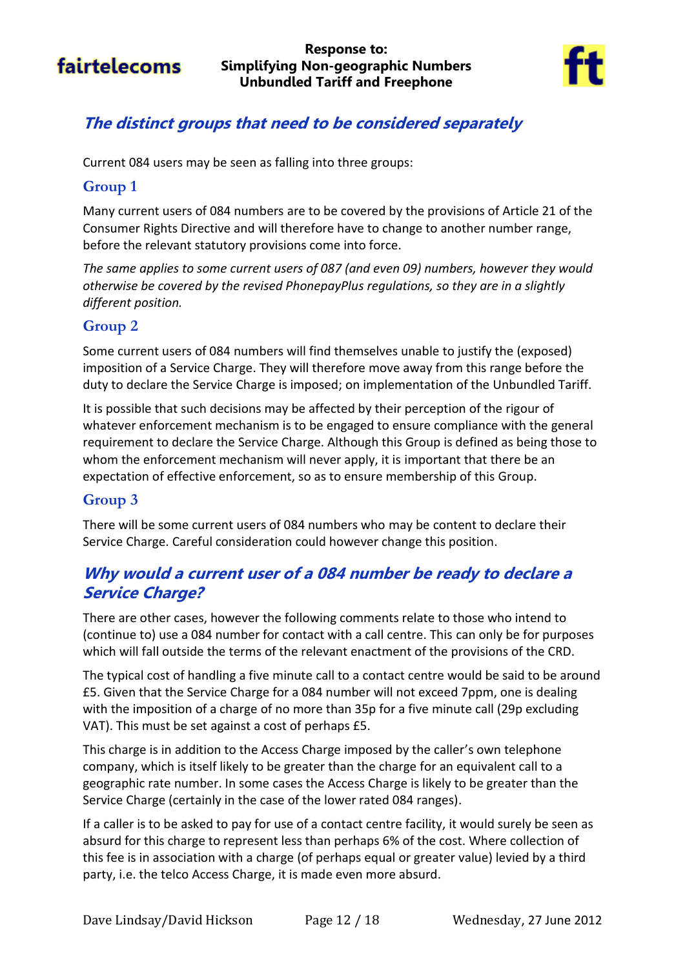

### **The distinct groups that need to be considered separately**

Current 084 users may be seen as falling into three groups:

### **Group 1**

Many current users of 084 numbers are to be covered by the provisions of Article 21 of the Consumer Rights Directive and will therefore have to change to another number range, before the relevant statutory provisions come into force.

*The same applies to some current users of 087 (and even 09) numbers, however they would otherwise be covered by the revised PhonepayPlus regulations, so they are in a slightly different position.*

### **Group 2**

Some current users of 084 numbers will find themselves unable to justify the (exposed) imposition of a Service Charge. They will therefore move away from this range before the duty to declare the Service Charge is imposed; on implementation of the Unbundled Tariff.

It is possible that such decisions may be affected by their perception of the rigour of whatever enforcement mechanism is to be engaged to ensure compliance with the general requirement to declare the Service Charge. Although this Group is defined as being those to whom the enforcement mechanism will never apply, it is important that there be an expectation of effective enforcement, so as to ensure membership of this Group.

### **Group 3**

There will be some current users of 084 numbers who may be content to declare their Service Charge. Careful consideration could however change this position.

### **Why would a current user of a 084 number be ready to declare a Service Charge?**

There are other cases, however the following comments relate to those who intend to (continue to) use a 084 number for contact with a call centre. This can only be for purposes which will fall outside the terms of the relevant enactment of the provisions of the CRD.

The typical cost of handling a five minute call to a contact centre would be said to be around £5. Given that the Service Charge for a 084 number will not exceed 7ppm, one is dealing with the imposition of a charge of no more than 35p for a five minute call (29p excluding VAT). This must be set against a cost of perhaps £5.

This charge is in addition to the Access Charge imposed by the caller's own telephone company, which is itself likely to be greater than the charge for an equivalent call to a geographic rate number. In some cases the Access Charge is likely to be greater than the Service Charge (certainly in the case of the lower rated 084 ranges).

If a caller is to be asked to pay for use of a contact centre facility, it would surely be seen as absurd for this charge to represent less than perhaps 6% of the cost. Where collection of this fee is in association with a charge (of perhaps equal or greater value) levied by a third party, i.e. the telco Access Charge, it is made even more absurd.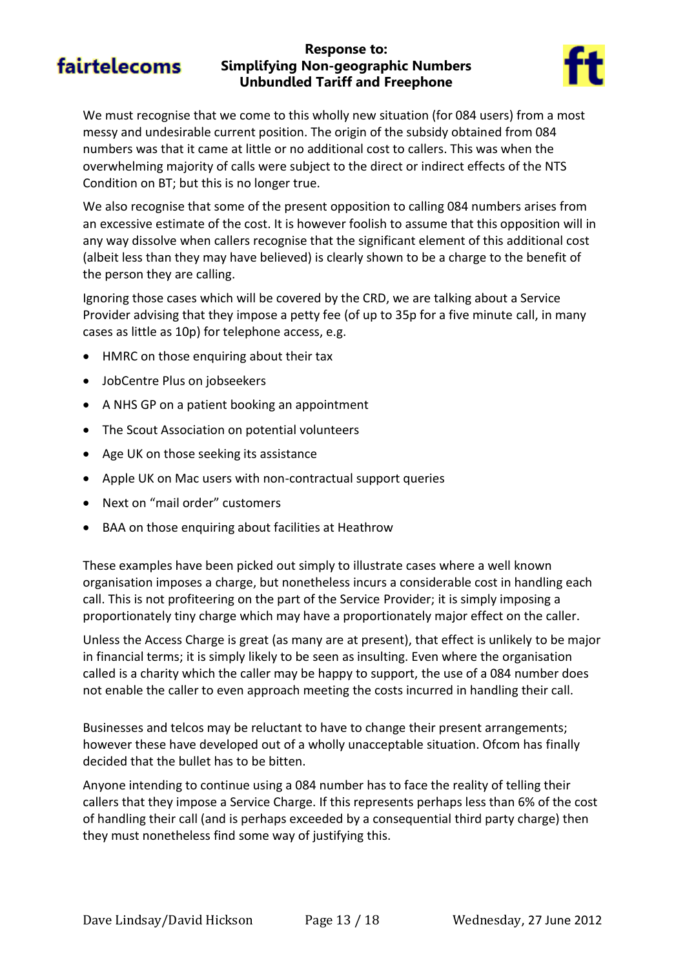#### **Response to: Simplifying Non-geographic Numbers Unbundled Tariff and Freephone**



We must recognise that we come to this wholly new situation (for 084 users) from a most messy and undesirable current position. The origin of the subsidy obtained from 084 numbers was that it came at little or no additional cost to callers. This was when the overwhelming majority of calls were subject to the direct or indirect effects of the NTS Condition on BT; but this is no longer true.

We also recognise that some of the present opposition to calling 084 numbers arises from an excessive estimate of the cost. It is however foolish to assume that this opposition will in any way dissolve when callers recognise that the significant element of this additional cost (albeit less than they may have believed) is clearly shown to be a charge to the benefit of the person they are calling.

Ignoring those cases which will be covered by the CRD, we are talking about a Service Provider advising that they impose a petty fee (of up to 35p for a five minute call, in many cases as little as 10p) for telephone access, e.g.

- HMRC on those enquiring about their tax
- JobCentre Plus on jobseekers
- A NHS GP on a patient booking an appointment
- The Scout Association on potential volunteers
- Age UK on those seeking its assistance
- Apple UK on Mac users with non-contractual support queries
- Next on "mail order" customers
- BAA on those enquiring about facilities at Heathrow

These examples have been picked out simply to illustrate cases where a well known organisation imposes a charge, but nonetheless incurs a considerable cost in handling each call. This is not profiteering on the part of the Service Provider; it is simply imposing a proportionately tiny charge which may have a proportionately major effect on the caller.

Unless the Access Charge is great (as many are at present), that effect is unlikely to be major in financial terms; it is simply likely to be seen as insulting. Even where the organisation called is a charity which the caller may be happy to support, the use of a 084 number does not enable the caller to even approach meeting the costs incurred in handling their call.

Businesses and telcos may be reluctant to have to change their present arrangements; however these have developed out of a wholly unacceptable situation. Ofcom has finally decided that the bullet has to be bitten.

Anyone intending to continue using a 084 number has to face the reality of telling their callers that they impose a Service Charge. If this represents perhaps less than 6% of the cost of handling their call (and is perhaps exceeded by a consequential third party charge) then they must nonetheless find some way of justifying this.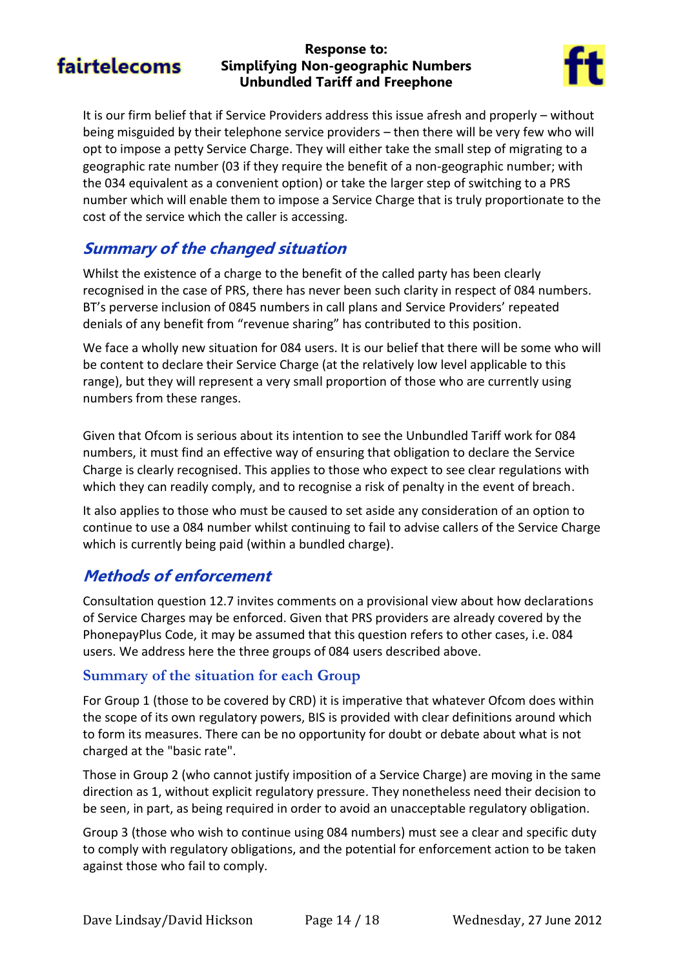#### **Response to: Simplifying Non-geographic Numbers Unbundled Tariff and Freephone**



It is our firm belief that if Service Providers address this issue afresh and properly – without being misguided by their telephone service providers – then there will be very few who will opt to impose a petty Service Charge. They will either take the small step of migrating to a geographic rate number (03 if they require the benefit of a non-geographic number; with the 034 equivalent as a convenient option) or take the larger step of switching to a PRS number which will enable them to impose a Service Charge that is truly proportionate to the cost of the service which the caller is accessing.

### **Summary of the changed situation**

Whilst the existence of a charge to the benefit of the called party has been clearly recognised in the case of PRS, there has never been such clarity in respect of 084 numbers. BT's perverse inclusion of 0845 numbers in call plans and Service Providers' repeated denials of any benefit from "revenue sharing" has contributed to this position.

We face a wholly new situation for 084 users. It is our belief that there will be some who will be content to declare their Service Charge (at the relatively low level applicable to this range), but they will represent a very small proportion of those who are currently using numbers from these ranges.

Given that Ofcom is serious about its intention to see the Unbundled Tariff work for 084 numbers, it must find an effective way of ensuring that obligation to declare the Service Charge is clearly recognised. This applies to those who expect to see clear regulations with which they can readily comply, and to recognise a risk of penalty in the event of breach.

It also applies to those who must be caused to set aside any consideration of an option to continue to use a 084 number whilst continuing to fail to advise callers of the Service Charge which is currently being paid (within a bundled charge).

### **Methods of enforcement**

Consultation question 12.7 invites comments on a provisional view about how declarations of Service Charges may be enforced. Given that PRS providers are already covered by the PhonepayPlus Code, it may be assumed that this question refers to other cases, i.e. 084 users. We address here the three groups of 084 users described above.

#### **Summary of the situation for each Group**

For Group 1 (those to be covered by CRD) it is imperative that whatever Ofcom does within the scope of its own regulatory powers, BIS is provided with clear definitions around which to form its measures. There can be no opportunity for doubt or debate about what is not charged at the "basic rate".

Those in Group 2 (who cannot justify imposition of a Service Charge) are moving in the same direction as 1, without explicit regulatory pressure. They nonetheless need their decision to be seen, in part, as being required in order to avoid an unacceptable regulatory obligation.

Group 3 (those who wish to continue using 084 numbers) must see a clear and specific duty to comply with regulatory obligations, and the potential for enforcement action to be taken against those who fail to comply.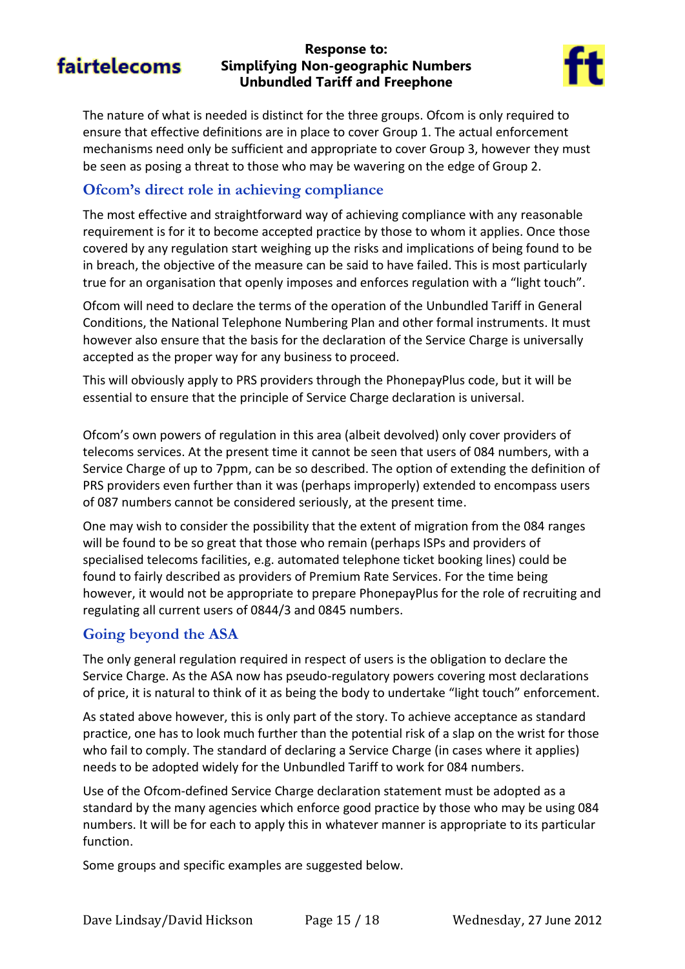#### **Response to: Simplifying Non-geographic Numbers Unbundled Tariff and Freephone**



The nature of what is needed is distinct for the three groups. Ofcom is only required to ensure that effective definitions are in place to cover Group 1. The actual enforcement mechanisms need only be sufficient and appropriate to cover Group 3, however they must be seen as posing a threat to those who may be wavering on the edge of Group 2.

### **Ofcom's direct role in achieving compliance**

The most effective and straightforward way of achieving compliance with any reasonable requirement is for it to become accepted practice by those to whom it applies. Once those covered by any regulation start weighing up the risks and implications of being found to be in breach, the objective of the measure can be said to have failed. This is most particularly true for an organisation that openly imposes and enforces regulation with a "light touch".

Ofcom will need to declare the terms of the operation of the Unbundled Tariff in General Conditions, the National Telephone Numbering Plan and other formal instruments. It must however also ensure that the basis for the declaration of the Service Charge is universally accepted as the proper way for any business to proceed.

This will obviously apply to PRS providers through the PhonepayPlus code, but it will be essential to ensure that the principle of Service Charge declaration is universal.

Ofcom's own powers of regulation in this area (albeit devolved) only cover providers of telecoms services. At the present time it cannot be seen that users of 084 numbers, with a Service Charge of up to 7ppm, can be so described. The option of extending the definition of PRS providers even further than it was (perhaps improperly) extended to encompass users of 087 numbers cannot be considered seriously, at the present time.

One may wish to consider the possibility that the extent of migration from the 084 ranges will be found to be so great that those who remain (perhaps ISPs and providers of specialised telecoms facilities, e.g. automated telephone ticket booking lines) could be found to fairly described as providers of Premium Rate Services. For the time being however, it would not be appropriate to prepare PhonepayPlus for the role of recruiting and regulating all current users of 0844/3 and 0845 numbers.

#### **Going beyond the ASA**

The only general regulation required in respect of users is the obligation to declare the Service Charge. As the ASA now has pseudo-regulatory powers covering most declarations of price, it is natural to think of it as being the body to undertake "light touch" enforcement.

As stated above however, this is only part of the story. To achieve acceptance as standard practice, one has to look much further than the potential risk of a slap on the wrist for those who fail to comply. The standard of declaring a Service Charge (in cases where it applies) needs to be adopted widely for the Unbundled Tariff to work for 084 numbers.

Use of the Ofcom-defined Service Charge declaration statement must be adopted as a standard by the many agencies which enforce good practice by those who may be using 084 numbers. It will be for each to apply this in whatever manner is appropriate to its particular function.

Some groups and specific examples are suggested below.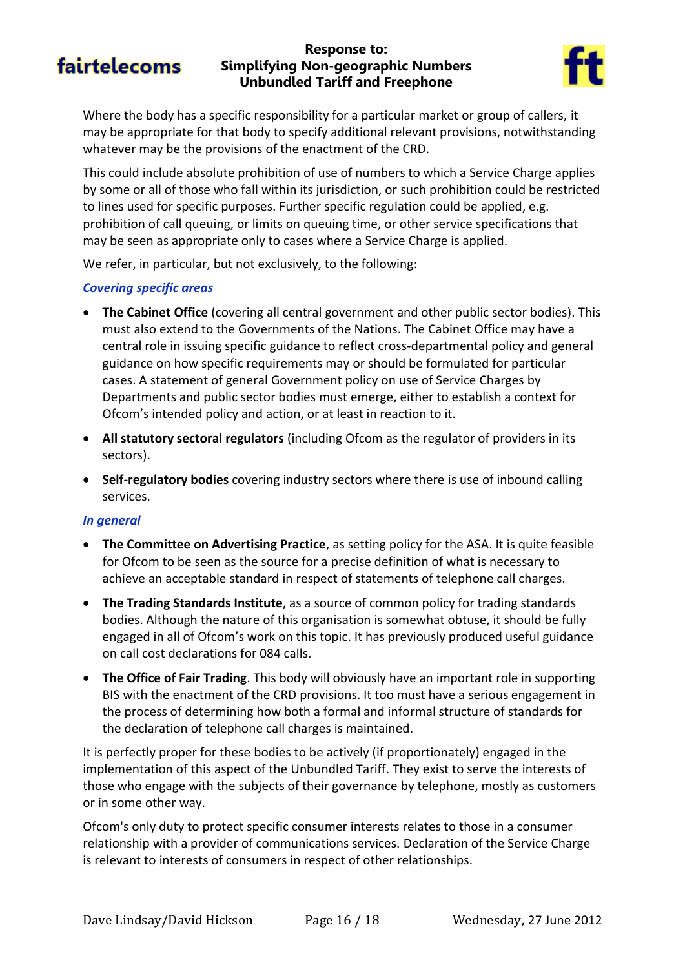#### **Response to: Simplifying Non-geographic Numbers Unbundled Tariff and Freephone**



Where the body has a specific responsibility for a particular market or group of callers, it may be appropriate for that body to specify additional relevant provisions, notwithstanding whatever may be the provisions of the enactment of the CRD.

This could include absolute prohibition of use of numbers to which a Service Charge applies by some or all of those who fall within its jurisdiction, or such prohibition could be restricted to lines used for specific purposes. Further specific regulation could be applied, e.g. prohibition of call queuing, or limits on queuing time, or other service specifications that may be seen as appropriate only to cases where a Service Charge is applied.

We refer, in particular, but not exclusively, to the following:

#### *Covering specific areas*

- **The Cabinet Office** (covering all central government and other public sector bodies). This must also extend to the Governments of the Nations. The Cabinet Office may have a central role in issuing specific guidance to reflect cross-departmental policy and general guidance on how specific requirements may or should be formulated for particular cases. A statement of general Government policy on use of Service Charges by Departments and public sector bodies must emerge, either to establish a context for Ofcom's intended policy and action, or at least in reaction to it.
- **All statutory sectoral regulators** (including Ofcom as the regulator of providers in its sectors).
- **Self-regulatory bodies** covering industry sectors where there is use of inbound calling services.

#### *In general*

- **The Committee on Advertising Practice**, as setting policy for the ASA. It is quite feasible for Ofcom to be seen as the source for a precise definition of what is necessary to achieve an acceptable standard in respect of statements of telephone call charges.
- **The Trading Standards Institute**, as a source of common policy for trading standards bodies. Although the nature of this organisation is somewhat obtuse, it should be fully engaged in all of Ofcom's work on this topic. It has previously produced useful guidance on call cost declarations for 084 calls.
- **The Office of Fair Trading**. This body will obviously have an important role in supporting BIS with the enactment of the CRD provisions. It too must have a serious engagement in the process of determining how both a formal and informal structure of standards for the declaration of telephone call charges is maintained.

It is perfectly proper for these bodies to be actively (if proportionately) engaged in the implementation of this aspect of the Unbundled Tariff. They exist to serve the interests of those who engage with the subjects of their governance by telephone, mostly as customers or in some other way.

Ofcom's only duty to protect specific consumer interests relates to those in a consumer relationship with a provider of communications services. Declaration of the Service Charge is relevant to interests of consumers in respect of other relationships.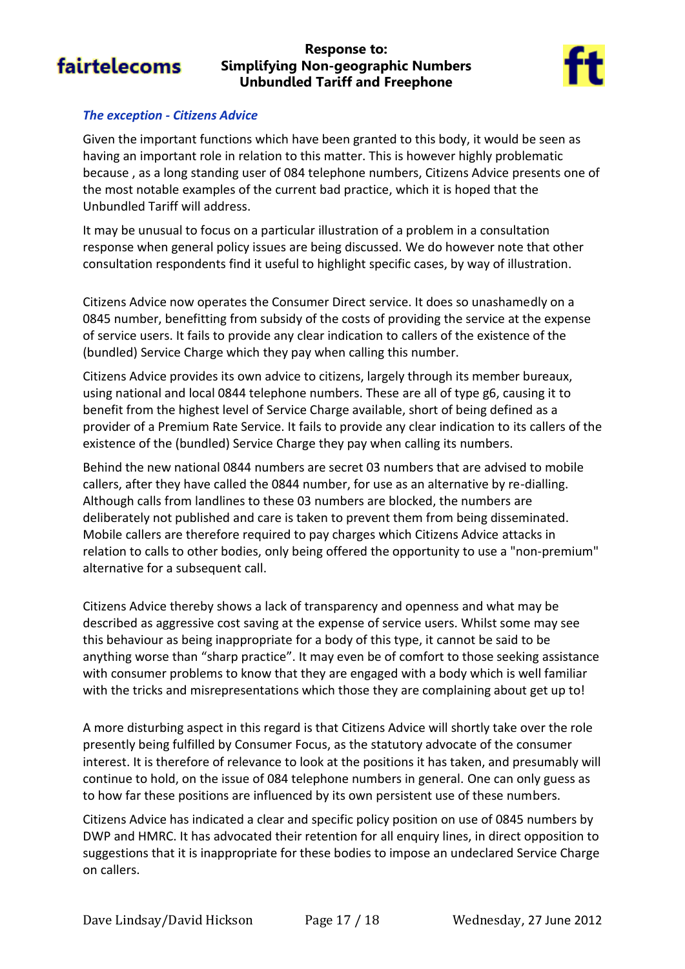#### **Response to: Simplifying Non-geographic Numbers Unbundled Tariff and Freephone**



#### *The exception - Citizens Advice*

Given the important functions which have been granted to this body, it would be seen as having an important role in relation to this matter. This is however highly problematic because , as a long standing user of 084 telephone numbers, Citizens Advice presents one of the most notable examples of the current bad practice, which it is hoped that the Unbundled Tariff will address.

It may be unusual to focus on a particular illustration of a problem in a consultation response when general policy issues are being discussed. We do however note that other consultation respondents find it useful to highlight specific cases, by way of illustration.

Citizens Advice now operates the Consumer Direct service. It does so unashamedly on a 0845 number, benefitting from subsidy of the costs of providing the service at the expense of service users. It fails to provide any clear indication to callers of the existence of the (bundled) Service Charge which they pay when calling this number.

Citizens Advice provides its own advice to citizens, largely through its member bureaux, using national and local 0844 telephone numbers. These are all of type g6, causing it to benefit from the highest level of Service Charge available, short of being defined as a provider of a Premium Rate Service. It fails to provide any clear indication to its callers of the existence of the (bundled) Service Charge they pay when calling its numbers.

Behind the new national 0844 numbers are secret 03 numbers that are advised to mobile callers, after they have called the 0844 number, for use as an alternative by re-dialling. Although calls from landlines to these 03 numbers are blocked, the numbers are deliberately not published and care is taken to prevent them from being disseminated. Mobile callers are therefore required to pay charges which Citizens Advice attacks in relation to calls to other bodies, only being offered the opportunity to use a "non-premium" alternative for a subsequent call.

Citizens Advice thereby shows a lack of transparency and openness and what may be described as aggressive cost saving at the expense of service users. Whilst some may see this behaviour as being inappropriate for a body of this type, it cannot be said to be anything worse than "sharp practice". It may even be of comfort to those seeking assistance with consumer problems to know that they are engaged with a body which is well familiar with the tricks and misrepresentations which those they are complaining about get up to!

A more disturbing aspect in this regard is that Citizens Advice will shortly take over the role presently being fulfilled by Consumer Focus, as the statutory advocate of the consumer interest. It is therefore of relevance to look at the positions it has taken, and presumably will continue to hold, on the issue of 084 telephone numbers in general. One can only guess as to how far these positions are influenced by its own persistent use of these numbers.

Citizens Advice has indicated a clear and specific policy position on use of 0845 numbers by DWP and HMRC. It has advocated their retention for all enquiry lines, in direct opposition to suggestions that it is inappropriate for these bodies to impose an undeclared Service Charge on callers.